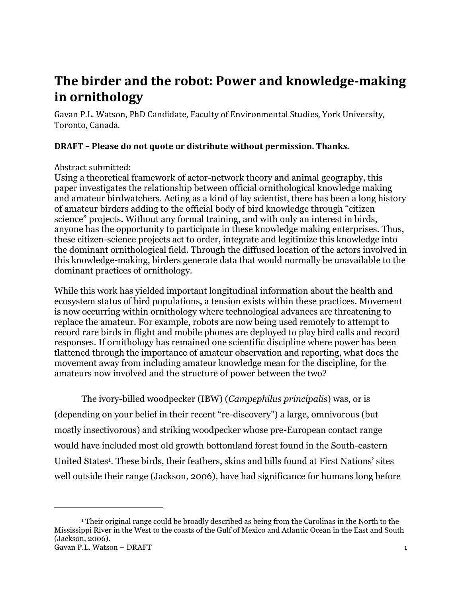# **The birder and the robot: Power and knowledge-making in ornithology**

Gavan P.L. Watson, PhD Candidate, Faculty of Environmental Studies, York University, Toronto, Canada.

# **DRAFT – Please do not quote or distribute without permission. Thanks.**

## Abstract submitted:

 $\overline{a}$ 

Using a theoretical framework of actor-network theory and animal geography, this paper investigates the relationship between official ornithological knowledge making and amateur birdwatchers. Acting as a kind of lay scientist, there has been a long history of amateur birders adding to the official body of bird knowledge through "citizen" science" projects. Without any formal training, and with only an interest in birds, anyone has the opportunity to participate in these knowledge making enterprises. Thus, these citizen-science projects act to order, integrate and legitimize this knowledge into the dominant ornithological field. Through the diffused location of the actors involved in this knowledge-making, birders generate data that would normally be unavailable to the dominant practices of ornithology.

While this work has yielded important longitudinal information about the health and ecosystem status of bird populations, a tension exists within these practices. Movement is now occurring within ornithology where technological advances are threatening to replace the amateur. For example, robots are now being used remotely to attempt to record rare birds in flight and mobile phones are deployed to play bird calls and record responses. If ornithology has remained one scientific discipline where power has been flattened through the importance of amateur observation and reporting, what does the movement away from including amateur knowledge mean for the discipline, for the amateurs now involved and the structure of power between the two?

The ivory-billed woodpecker (IBW) (*Campephilus principalis*) was, or is

(depending on your belief in their recent "re-discovery") a large, omnivorous (but mostly insectivorous) and striking woodpecker whose pre-European contact range would have included most old growth bottomland forest found in the South-eastern United States<sup>1</sup>. These birds, their feathers, skins and bills found at First Nations' sites well outside their range (Jackson, 2006), have had significance for humans long before

Gavan P.L. Watson – DRAFT 1 <sup>1</sup> Their original range could be broadly described as being from the Carolinas in the North to the Mississippi River in the West to the coasts of the Gulf of Mexico and Atlantic Ocean in the East and South (Jackson, 2006).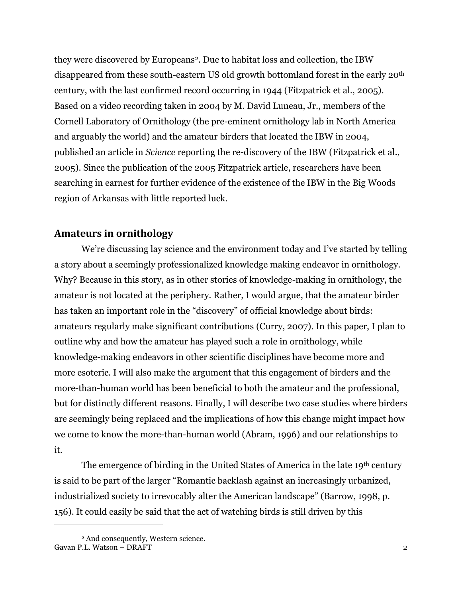they were discovered by Europeans2. Due to habitat loss and collection, the IBW disappeared from these south-eastern US old growth bottomland forest in the early 20th century, with the last confirmed record occurring in 1944 (Fitzpatrick et al., 2005). Based on a video recording taken in 2004 by M. David Luneau, Jr., members of the Cornell Laboratory of Ornithology (the pre-eminent ornithology lab in North America and arguably the world) and the amateur birders that located the IBW in 2004, published an article in *Science* reporting the re-discovery of the IBW (Fitzpatrick et al., 2005). Since the publication of the 2005 Fitzpatrick article, researchers have been searching in earnest for further evidence of the existence of the IBW in the Big Woods region of Arkansas with little reported luck.

# **Amateurs in ornithology**

We're discussing lay science and the environment today and I've started by telling a story about a seemingly professionalized knowledge making endeavor in ornithology. Why? Because in this story, as in other stories of knowledge-making in ornithology, the amateur is not located at the periphery. Rather, I would argue, that the amateur birder has taken an important role in the "discovery" of official knowledge about birds: amateurs regularly make significant contributions (Curry, 2007). In this paper, I plan to outline why and how the amateur has played such a role in ornithology, while knowledge-making endeavors in other scientific disciplines have become more and more esoteric. I will also make the argument that this engagement of birders and the more-than-human world has been beneficial to both the amateur and the professional, but for distinctly different reasons. Finally, I will describe two case studies where birders are seemingly being replaced and the implications of how this change might impact how we come to know the more-than-human world (Abram, 1996) and our relationships to it.

The emergence of birding in the United States of America in the late 19<sup>th</sup> century is said to be part of the larger "Romantic backlash against an increasingly urbanized, industrialized society to irrevocably alter the American landscape" (Barrow, 1998, p. 156). It could easily be said that the act of watching birds is still driven by this

 $\overline{a}$ 

Gavan P.L. Watson – DRAFT 2 <sup>2</sup> And consequently, Western science.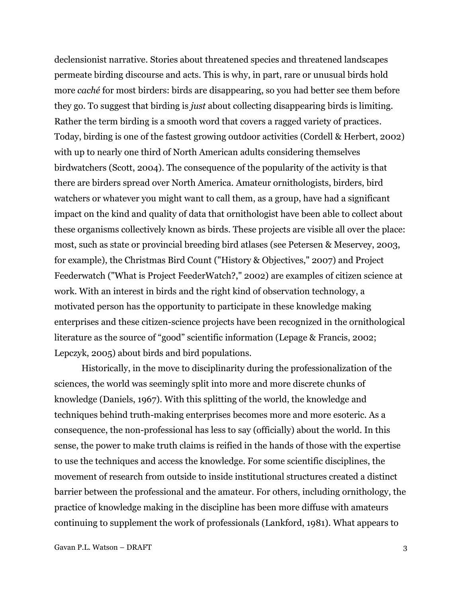declensionist narrative. Stories about threatened species and threatened landscapes permeate birding discourse and acts. This is why, in part, rare or unusual birds hold more *caché* for most birders: birds are disappearing, so you had better see them before they go. To suggest that birding is *just* about collecting disappearing birds is limiting. Rather the term birding is a smooth word that covers a ragged variety of practices. Today, birding is one of the fastest growing outdoor activities (Cordell & Herbert, 2002) with up to nearly one third of North American adults considering themselves birdwatchers (Scott, 2004). The consequence of the popularity of the activity is that there are birders spread over North America. Amateur ornithologists, birders, bird watchers or whatever you might want to call them, as a group, have had a significant impact on the kind and quality of data that ornithologist have been able to collect about these organisms collectively known as birds. These projects are visible all over the place: most, such as state or provincial breeding bird atlases (see Petersen & Meservey, 2003, for example), the Christmas Bird Count ("History & Objectives," 2007) and Project Feederwatch ("What is Project FeederWatch?," 2002) are examples of citizen science at work. With an interest in birds and the right kind of observation technology, a motivated person has the opportunity to participate in these knowledge making enterprises and these citizen-science projects have been recognized in the ornithological literature as the source of "good" scientific information (Lepage & Francis, 2002; Lepczyk, 2005) about birds and bird populations.

Historically, in the move to disciplinarity during the professionalization of the sciences, the world was seemingly split into more and more discrete chunks of knowledge (Daniels, 1967). With this splitting of the world, the knowledge and techniques behind truth-making enterprises becomes more and more esoteric. As a consequence, the non-professional has less to say (officially) about the world. In this sense, the power to make truth claims is reified in the hands of those with the expertise to use the techniques and access the knowledge. For some scientific disciplines, the movement of research from outside to inside institutional structures created a distinct barrier between the professional and the amateur. For others, including ornithology, the practice of knowledge making in the discipline has been more diffuse with amateurs continuing to supplement the work of professionals (Lankford, 1981). What appears to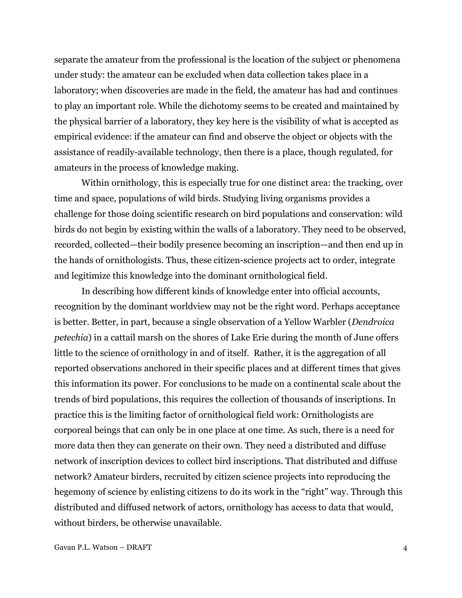separate the amateur from the professional is the location of the subject or phenomena under study: the amateur can be excluded when data collection takes place in a laboratory; when discoveries are made in the field, the amateur has had and continues to play an important role. While the dichotomy seems to be created and maintained by the physical barrier of a laboratory, they key here is the visibility of what is accepted as empirical evidence: if the amateur can find and observe the object or objects with the assistance of readily-available technology, then there is a place, though regulated, for amateurs in the process of knowledge making.

Within ornithology, this is especially true for one distinct area: the tracking, over time and space, populations of wild birds. Studying living organisms provides a challenge for those doing scientific research on bird populations and conservation: wild birds do not begin by existing within the walls of a laboratory. They need to be observed, recorded, collected—their bodily presence becoming an inscription—and then end up in the hands of ornithologists. Thus, these citizen-science projects act to order, integrate and legitimize this knowledge into the dominant ornithological field.

In describing how different kinds of knowledge enter into official accounts, recognition by the dominant worldview may not be the right word. Perhaps acceptance is better. Better, in part, because a single observation of a Yellow Warbler (*Dendroica petechia*) in a cattail marsh on the shores of Lake Erie during the month of June offers little to the science of ornithology in and of itself. Rather, it is the aggregation of all reported observations anchored in their specific places and at different times that gives this information its power. For conclusions to be made on a continental scale about the trends of bird populations, this requires the collection of thousands of inscriptions. In practice this is the limiting factor of ornithological field work: Ornithologists are corporeal beings that can only be in one place at one time. As such, there is a need for more data then they can generate on their own. They need a distributed and diffuse network of inscription devices to collect bird inscriptions. That distributed and diffuse network? Amateur birders, recruited by citizen science projects into reproducing the hegemony of science by enlisting citizens to do its work in the "right" way. Through this distributed and diffused network of actors, ornithology has access to data that would, without birders, be otherwise unavailable.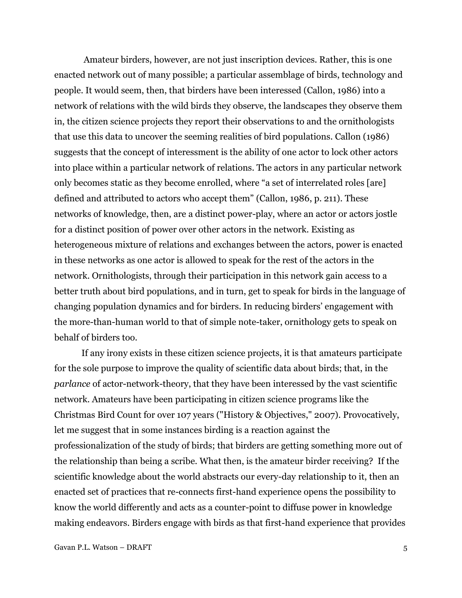Amateur birders, however, are not just inscription devices. Rather, this is one enacted network out of many possible; a particular assemblage of birds, technology and people. It would seem, then, that birders have been interessed (Callon, 1986) into a network of relations with the wild birds they observe, the landscapes they observe them in, the citizen science projects they report their observations to and the ornithologists that use this data to uncover the seeming realities of bird populations. Callon (1986) suggests that the concept of interessment is the ability of one actor to lock other actors into place within a particular network of relations. The actors in any particular network only becomes static as they become enrolled, where "a set of interrelated roles [are] defined and attributed to actors who accept them" (Callon, 1986, p. 211). These networks of knowledge, then, are a distinct power-play, where an actor or actors jostle for a distinct position of power over other actors in the network. Existing as heterogeneous mixture of relations and exchanges between the actors, power is enacted in these networks as one actor is allowed to speak for the rest of the actors in the network. Ornithologists, through their participation in this network gain access to a better truth about bird populations, and in turn, get to speak for birds in the language of changing population dynamics and for birders. In reducing birders' engagement with the more-than-human world to that of simple note-taker, ornithology gets to speak on behalf of birders too.

If any irony exists in these citizen science projects, it is that amateurs participate for the sole purpose to improve the quality of scientific data about birds; that, in the *parlance* of actor-network-theory, that they have been interessed by the vast scientific network. Amateurs have been participating in citizen science programs like the Christmas Bird Count for over 107 years ("History & Objectives," 2007). Provocatively, let me suggest that in some instances birding is a reaction against the professionalization of the study of birds; that birders are getting something more out of the relationship than being a scribe. What then, is the amateur birder receiving? If the scientific knowledge about the world abstracts our every-day relationship to it, then an enacted set of practices that re-connects first-hand experience opens the possibility to know the world differently and acts as a counter-point to diffuse power in knowledge making endeavors. Birders engage with birds as that first-hand experience that provides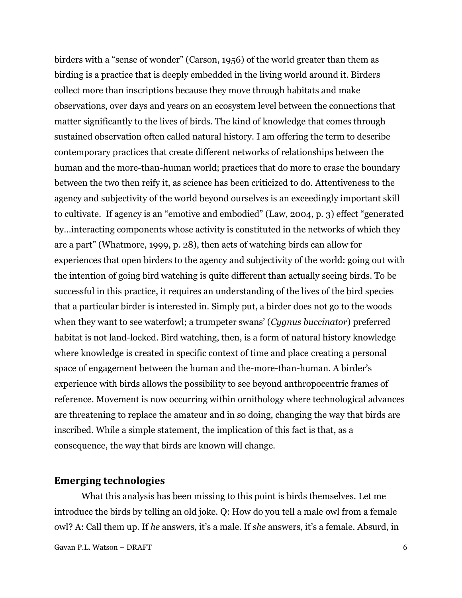birders with a "sense of wonder" (Carson, 1956) of the world greater than them as birding is a practice that is deeply embedded in the living world around it. Birders collect more than inscriptions because they move through habitats and make observations, over days and years on an ecosystem level between the connections that matter significantly to the lives of birds. The kind of knowledge that comes through sustained observation often called natural history. I am offering the term to describe contemporary practices that create different networks of relationships between the human and the more-than-human world; practices that do more to erase the boundary between the two then reify it, as science has been criticized to do. Attentiveness to the agency and subjectivity of the world beyond ourselves is an exceedingly important skill to cultivate. If agency is an "emotive and embodied" (Law, 2004, p. 3) effect "generated by…interacting components whose activity is constituted in the networks of which they are a part" (Whatmore, 1999, p. 28), then acts of watching birds can allow for experiences that open birders to the agency and subjectivity of the world: going out with the intention of going bird watching is quite different than actually seeing birds. To be successful in this practice, it requires an understanding of the lives of the bird species that a particular birder is interested in. Simply put, a birder does not go to the woods when they want to see waterfowl; a trumpeter swans' (*Cygnus buccinator*) preferred habitat is not land-locked. Bird watching, then, is a form of natural history knowledge where knowledge is created in specific context of time and place creating a personal space of engagement between the human and the-more-than-human. A birder's experience with birds allows the possibility to see beyond anthropocentric frames of reference. Movement is now occurring within ornithology where technological advances are threatening to replace the amateur and in so doing, changing the way that birds are inscribed. While a simple statement, the implication of this fact is that, as a consequence, the way that birds are known will change.

### **Emerging technologies**

What this analysis has been missing to this point is birds themselves. Let me introduce the birds by telling an old joke. Q: How do you tell a male owl from a female owl? A: Call them up. If *he* answers, it's a male. If *she* answers, it's a female. Absurd, in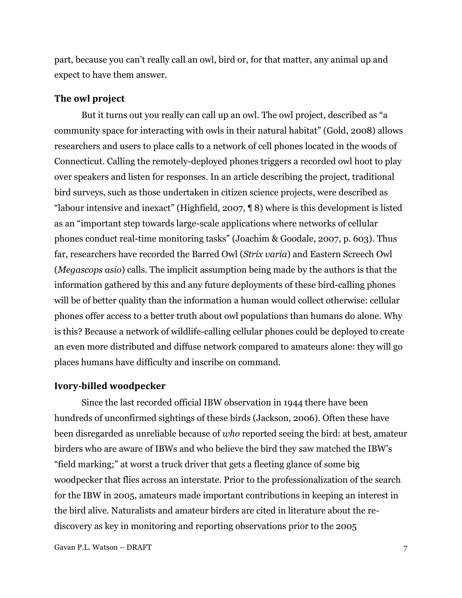part, because you can't really call an owl, bird or, for that matter, any animal up and expect to have them answer.

#### **The owl project**

But it turns out you really can call up an owl. The owl project, described as "a community space for interacting with owls in their natural habitat" (Gold, 2008) allows researchers and users to place calls to a network of cell phones located in the woods of Connecticut. Calling the remotely-deployed phones triggers a recorded owl hoot to play over speakers and listen for responses. In an article describing the project, traditional bird surveys, such as those undertaken in citizen science projects, were described as ―labour intensive and inexact‖ (Highfield, 2007, ¶ 8) where is this development is listed as an "important step towards large-scale applications where networks of cellular phones conduct real-time monitoring tasks‖ (Joachim & Goodale, 2007, p. 603). Thus far, researchers have recorded the Barred Owl (*Strix varia*) and Eastern Screech Owl (*Megascops asio*) calls. The implicit assumption being made by the authors is that the information gathered by this and any future deployments of these bird-calling phones will be of better quality than the information a human would collect otherwise: cellular phones offer access to a better truth about owl populations than humans do alone. Why is this? Because a network of wildlife-calling cellular phones could be deployed to create an even more distributed and diffuse network compared to amateurs alone: they will go places humans have difficulty and inscribe on command.

#### **Ivory-billed woodpecker**

Since the last recorded official IBW observation in 1944 there have been hundreds of unconfirmed sightings of these birds (Jackson, 2006). Often these have been disregarded as unreliable because of *who* reported seeing the bird: at best, amateur birders who are aware of IBWs and who believe the bird they saw matched the IBW's ―field marking;‖ at worst a truck driver that gets a fleeting glance of some big woodpecker that flies across an interstate. Prior to the professionalization of the search for the IBW in 2005, amateurs made important contributions in keeping an interest in the bird alive. Naturalists and amateur birders are cited in literature about the rediscovery as key in monitoring and reporting observations prior to the 2005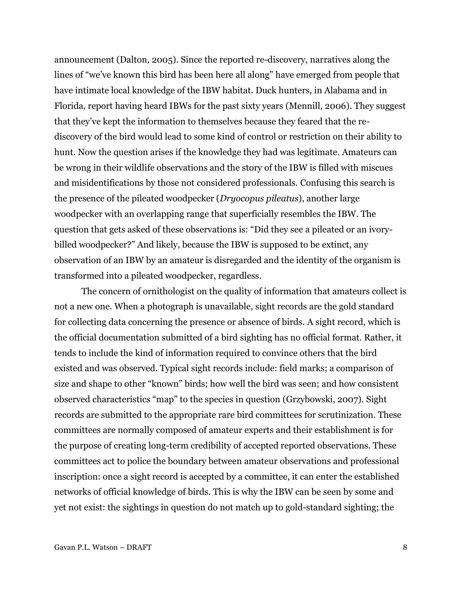announcement (Dalton, 2005). Since the reported re-discovery, narratives along the lines of "we've known this bird has been here all along" have emerged from people that have intimate local knowledge of the IBW habitat. Duck hunters, in Alabama and in Florida, report having heard IBWs for the past sixty years (Mennill, 2006). They suggest that they've kept the information to themselves because they feared that the rediscovery of the bird would lead to some kind of control or restriction on their ability to hunt. Now the question arises if the knowledge they had was legitimate. Amateurs can be wrong in their wildlife observations and the story of the IBW is filled with miscues and misidentifications by those not considered professionals. Confusing this search is the presence of the pileated woodpecker (*Dryocopus pileatus*), another large woodpecker with an overlapping range that superficially resembles the IBW. The question that gets asked of these observations is: "Did they see a pileated or an ivorybilled woodpecker?" And likely, because the IBW is supposed to be extinct, any observation of an IBW by an amateur is disregarded and the identity of the organism is transformed into a pileated woodpecker, regardless.

The concern of ornithologist on the quality of information that amateurs collect is not a new one. When a photograph is unavailable, sight records are the gold standard for collecting data concerning the presence or absence of birds. A sight record, which is the official documentation submitted of a bird sighting has no official format. Rather, it tends to include the kind of information required to convince others that the bird existed and was observed. Typical sight records include: field marks; a comparison of size and shape to other "known" birds; how well the bird was seen; and how consistent observed characteristics "map" to the species in question (Grzybowski, 2007). Sight records are submitted to the appropriate rare bird committees for scrutinization. These committees are normally composed of amateur experts and their establishment is for the purpose of creating long-term credibility of accepted reported observations. These committees act to police the boundary between amateur observations and professional inscription: once a sight record is accepted by a committee, it can enter the established networks of official knowledge of birds. This is why the IBW can be seen by some and yet not exist: the sightings in question do not match up to gold-standard sighting; the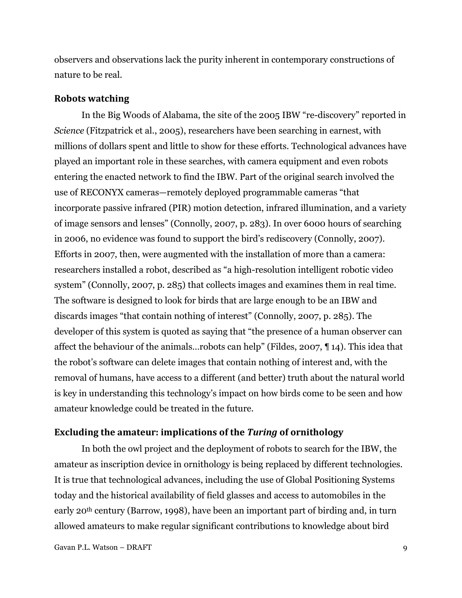observers and observations lack the purity inherent in contemporary constructions of nature to be real.

#### **Robots watching**

In the Big Woods of Alabama, the site of the 2005 IBW "re-discovery" reported in *Science* (Fitzpatrick et al., 2005), researchers have been searching in earnest, with millions of dollars spent and little to show for these efforts. Technological advances have played an important role in these searches, with camera equipment and even robots entering the enacted network to find the IBW. Part of the original search involved the use of RECONYX cameras—remotely deployed programmable cameras "that incorporate passive infrared (PIR) motion detection, infrared illumination, and a variety of image sensors and lenses" (Connolly, 2007, p. 283). In over 6000 hours of searching in 2006, no evidence was found to support the bird's rediscovery (Connolly, 2007). Efforts in 2007, then, were augmented with the installation of more than a camera: researchers installed a robot, described as "a high-resolution intelligent robotic video system" (Connolly, 2007, p. 285) that collects images and examines them in real time. The software is designed to look for birds that are large enough to be an IBW and discards images "that contain nothing of interest" (Connolly, 2007, p. 285). The developer of this system is quoted as saying that "the presence of a human observer can affect the behaviour of the animals... robots can help" (Fildes, 2007,  $\P$  14). This idea that the robot's software can delete images that contain nothing of interest and, with the removal of humans, have access to a different (and better) truth about the natural world is key in understanding this technology's impact on how birds come to be seen and how amateur knowledge could be treated in the future.

#### **Excluding the amateur: implications of the** *Turing* **of ornithology**

In both the owl project and the deployment of robots to search for the IBW, the amateur as inscription device in ornithology is being replaced by different technologies. It is true that technological advances, including the use of Global Positioning Systems today and the historical availability of field glasses and access to automobiles in the early 20th century (Barrow, 1998), have been an important part of birding and, in turn allowed amateurs to make regular significant contributions to knowledge about bird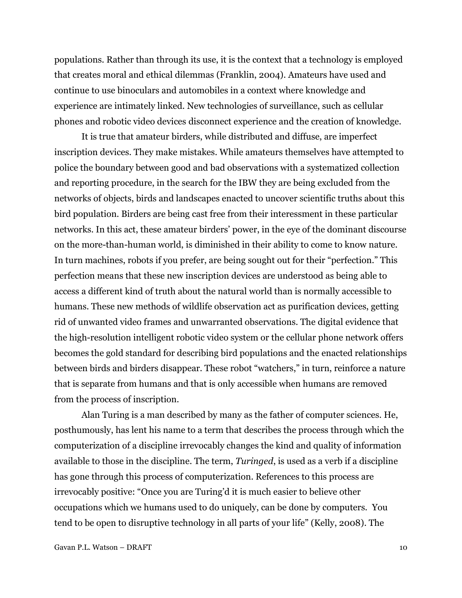populations. Rather than through its use, it is the context that a technology is employed that creates moral and ethical dilemmas (Franklin, 2004). Amateurs have used and continue to use binoculars and automobiles in a context where knowledge and experience are intimately linked. New technologies of surveillance, such as cellular phones and robotic video devices disconnect experience and the creation of knowledge.

It is true that amateur birders, while distributed and diffuse, are imperfect inscription devices. They make mistakes. While amateurs themselves have attempted to police the boundary between good and bad observations with a systematized collection and reporting procedure, in the search for the IBW they are being excluded from the networks of objects, birds and landscapes enacted to uncover scientific truths about this bird population. Birders are being cast free from their interessment in these particular networks. In this act, these amateur birders' power, in the eye of the dominant discourse on the more-than-human world, is diminished in their ability to come to know nature. In turn machines, robots if you prefer, are being sought out for their "perfection." This perfection means that these new inscription devices are understood as being able to access a different kind of truth about the natural world than is normally accessible to humans. These new methods of wildlife observation act as purification devices, getting rid of unwanted video frames and unwarranted observations. The digital evidence that the high-resolution intelligent robotic video system or the cellular phone network offers becomes the gold standard for describing bird populations and the enacted relationships between birds and birders disappear. These robot "watchers," in turn, reinforce a nature that is separate from humans and that is only accessible when humans are removed from the process of inscription.

Alan Turing is a man described by many as the father of computer sciences. He, posthumously, has lent his name to a term that describes the process through which the computerization of a discipline irrevocably changes the kind and quality of information available to those in the discipline. The term, *Turinged*, is used as a verb if a discipline has gone through this process of computerization. References to this process are irrevocably positive: "Once you are Turing'd it is much easier to believe other occupations which we humans used to do uniquely, can be done by computers. You tend to be open to disruptive technology in all parts of your life" (Kelly, 2008). The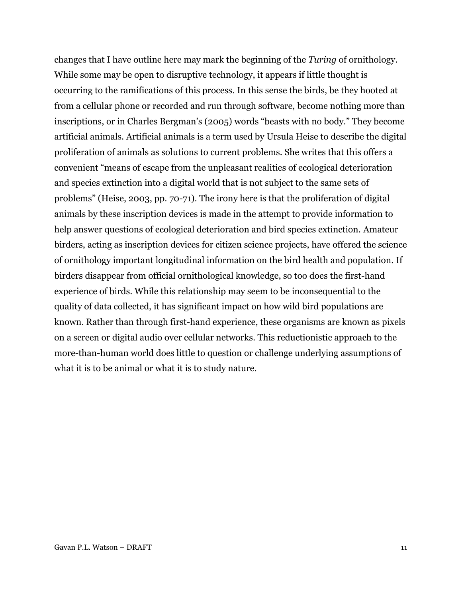changes that I have outline here may mark the beginning of the *Turing* of ornithology. While some may be open to disruptive technology, it appears if little thought is occurring to the ramifications of this process. In this sense the birds, be they hooted at from a cellular phone or recorded and run through software, become nothing more than inscriptions, or in Charles Bergman's (2005) words "beasts with no body." They become artificial animals. Artificial animals is a term used by Ursula Heise to describe the digital proliferation of animals as solutions to current problems. She writes that this offers a convenient "means of escape from the unpleasant realities of ecological deterioration and species extinction into a digital world that is not subject to the same sets of problems" (Heise, 2003, pp. 70-71). The irony here is that the proliferation of digital animals by these inscription devices is made in the attempt to provide information to help answer questions of ecological deterioration and bird species extinction. Amateur birders, acting as inscription devices for citizen science projects, have offered the science of ornithology important longitudinal information on the bird health and population. If birders disappear from official ornithological knowledge, so too does the first-hand experience of birds. While this relationship may seem to be inconsequential to the quality of data collected, it has significant impact on how wild bird populations are known. Rather than through first-hand experience, these organisms are known as pixels on a screen or digital audio over cellular networks. This reductionistic approach to the more-than-human world does little to question or challenge underlying assumptions of what it is to be animal or what it is to study nature.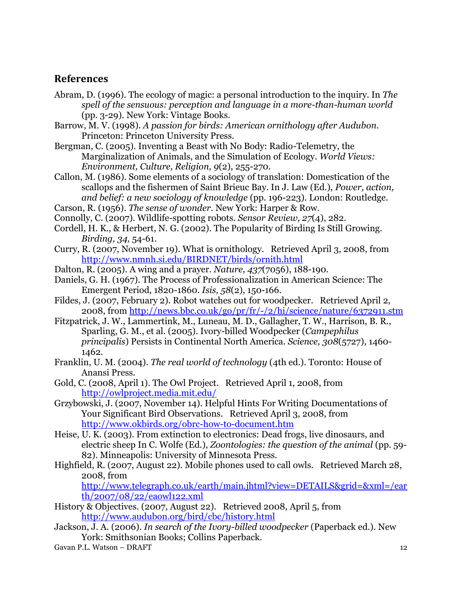# **References**

- Abram, D. (1996). The ecology of magic: a personal introduction to the inquiry. In *The spell of the sensuous: perception and language in a more-than-human world* (pp. 3-29). New York: Vintage Books.
- Barrow, M. V. (1998). *A passion for birds: American ornithology after Audubon*. Princeton: Princeton University Press.
- Bergman, C. (2005). Inventing a Beast with No Body: Radio-Telemetry, the Marginalization of Animals, and the Simulation of Ecology. *World Views: Environment, Culture, Religion, 9*(2), 255-270.
- Callon, M. (1986). Some elements of a sociology of translation: Domestication of the scallops and the fishermen of Saint Brieuc Bay. In J. Law (Ed.), *Power, action, and belief: a new sociology of knowledge* (pp. 196-223). London: Routledge.
- Carson, R. (1956). *The sense of wonder*. New York: Harper & Row.
- Connolly, C. (2007). Wildlife-spotting robots. *Sensor Review, 27*(4), 282.
- Cordell, H. K., & Herbert, N. G. (2002). The Popularity of Birding Is Still Growing. *Birding, 34,* 54-61.
- Curry, R. (2007, November 19). What is ornithology. Retrieved April 3, 2008, from <http://www.nmnh.si.edu/BIRDNET/birds/ornith.html>
- Dalton, R. (2005). A wing and a prayer. *Nature, 437*(7056), 188-190.
- Daniels, G. H. (1967). The Process of Professionalization in American Science: The Emergent Period, 1820-1860. *Isis, 58*(2), 150-166.
- Fildes, J. (2007, February 2). Robot watches out for woodpecker. Retrieved April 2, 2008, from<http://news.bbc.co.uk/go/pr/fr/-/2/hi/science/nature/6372911.stm>
- Fitzpatrick, J. W., Lammertink, M., Luneau, M. D., Gallagher, T. W., Harrison, B. R., Sparling, G. M., et al. (2005). Ivory-billed Woodpecker (*Campephilus principalis*) Persists in Continental North America. *Science, 308*(5727), 1460- 1462.
- Franklin, U. M. (2004). *The real world of technology* (4th ed.). Toronto: House of Anansi Press.
- Gold, C. (2008, April 1). The Owl Project. Retrieved April 1, 2008, from <http://owlproject.media.mit.edu/>
- Grzybowski, J. (2007, November 14). Helpful Hints For Writing Documentations of Your Significant Bird Observations. Retrieved April 3, 2008, from <http://www.okbirds.org/obrc-how-to-document.htm>
- Heise, U. K. (2003). From extinction to electronics: Dead frogs, live dinosaurs, and electric sheep In C. Wolfe (Ed.), *Zoontologies: the question of the animal* (pp. 59- 82). Minneapolis: University of Minnesota Press.
- Highfield, R. (2007, August 22). Mobile phones used to call owls. Retrieved March 28, 2008, from

[http://www.telegraph.co.uk/earth/main.jhtml?view=DETAILS&grid=&xml=/ear](http://www.telegraph.co.uk/earth/main.jhtml?view=DETAILS&grid=&xml=/earth/2007/08/22/eaowl122.xml) [th/2007/08/22/eaowl122.xml](http://www.telegraph.co.uk/earth/main.jhtml?view=DETAILS&grid=&xml=/earth/2007/08/22/eaowl122.xml)

- History & Objectives. (2007, August 22). Retrieved 2008, April 5, from <http://www.audubon.org/bird/cbc/history.html>
- Jackson, J. A. (2006). *In search of the Ivory-billed woodpecker* (Paperback ed.). New York: Smithsonian Books; Collins Paperback.
- Gavan P.L. Watson DRAFT 12